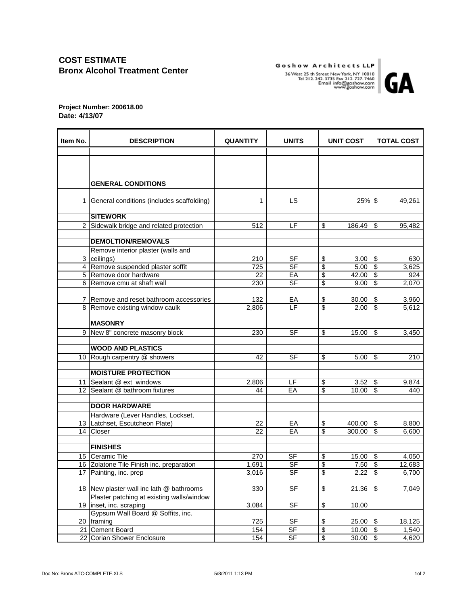## **COST ESTIMATE Bronx Alcohol Treatment Center**

Goshow Architects LLP 36 West 25 th Street New York, NY 10010<br>Tel 212. 242. 3735 Fax 212. 727. 7460<br>Tel 212. 242. 3735 Fax 212. 727. 7460<br>Email info@goshow.com<br>www.goshow.com



**Project Number: 200618.00 Date: 4/13/07**

| Item No. | <b>DESCRIPTION</b>                                | <b>QUANTITY</b> | <b>UNITS</b>     | UNIT COST                      | <b>TOTAL COST</b>                                     |  |
|----------|---------------------------------------------------|-----------------|------------------|--------------------------------|-------------------------------------------------------|--|
|          |                                                   |                 |                  |                                |                                                       |  |
|          |                                                   |                 |                  |                                |                                                       |  |
|          |                                                   |                 |                  |                                |                                                       |  |
|          | <b>GENERAL CONDITIONS</b>                         |                 |                  |                                |                                                       |  |
|          |                                                   |                 |                  |                                |                                                       |  |
| 1        | General conditions (includes scaffolding)         | 1               | LS.              | 25% \$                         | 49,261                                                |  |
|          |                                                   |                 |                  |                                |                                                       |  |
|          | <b>SITEWORK</b>                                   |                 |                  |                                |                                                       |  |
|          | 2 Sidewalk bridge and related protection          | 512             | LF               | \$<br>186.49                   | \$<br>95,482                                          |  |
|          |                                                   |                 |                  |                                |                                                       |  |
|          | <b>DEMOLTION/REMOVALS</b>                         |                 |                  |                                |                                                       |  |
|          | Remove interior plaster (walls and<br>3 ceilings) |                 | <b>SF</b>        |                                |                                                       |  |
|          | 4 Remove suspended plaster soffit                 | 210<br>725      | $S$ F            | \$<br>3.00<br>\$<br>5.00       | 630<br>\$<br>$\overline{\mathbf{s}}$<br>3,625         |  |
|          | 5 Remove door hardware                            | 22              | EA               | \$<br>42.00                    | 924<br>-\$                                            |  |
|          | 6 Remove cmu at shaft wall                        | 230             | S <sub>F</sub>   | \$<br>9.00                     | $\overline{\$}$<br>2,070                              |  |
|          |                                                   |                 |                  |                                |                                                       |  |
|          | 7 Remove and reset bathroom accessories           | 132             | EA               | \$<br>30.00                    | 3,960<br>\$                                           |  |
|          | 8 Remove existing window caulk                    | 2,806           | LF.              | \$<br>2.00                     | \$<br>5,612                                           |  |
|          |                                                   |                 |                  |                                |                                                       |  |
|          | <b>MASONRY</b>                                    |                 |                  |                                |                                                       |  |
|          | 9 New 8" concrete masonry block                   | 230             | <b>SF</b>        | \$<br>15.00                    | \$<br>3,450                                           |  |
|          | <b>WOOD AND PLASTICS</b>                          |                 |                  |                                |                                                       |  |
|          | 10 Rough carpentry @ showers                      | 42              | <b>SF</b>        | \$<br>5.00                     | \$<br>210                                             |  |
|          |                                                   |                 |                  |                                |                                                       |  |
|          | <b>MOISTURE PROTECTION</b>                        |                 |                  |                                |                                                       |  |
| 11       | Sealant @ ext windows                             | 2,806           | LF.              | \$<br>3.52                     | \$<br>9,874                                           |  |
|          | 12 Sealant @ bathroom fixtures                    | 44              | EA               | \$<br>10.00                    | \$<br>440                                             |  |
|          |                                                   |                 |                  |                                |                                                       |  |
|          | <b>DOOR HARDWARE</b>                              |                 |                  |                                |                                                       |  |
|          | Hardware (Lever Handles, Lockset,                 |                 |                  |                                |                                                       |  |
|          | 13 Latchset, Escutcheon Plate)                    | 22              | EA               | \$<br>400.00                   | 8,800<br>\$                                           |  |
|          | 14 Closer                                         | 22              | EA               | \$<br>300.00                   | \$<br>6,600                                           |  |
|          | <b>FINISHES</b>                                   |                 |                  |                                |                                                       |  |
|          | 15   Ceramic Tile                                 | 270             | <b>SF</b>        | \$<br>15.00                    | 4,050<br>\$                                           |  |
|          | 16 Zolatone Tile Finish inc. preparation          | 1,691           | S <sub>F</sub>   | \$<br>7.50                     | $\overline{\$}$<br>12,683                             |  |
| 17       | Painting, inc. prep                               | 3,016           | SF               | \$<br>2.22                     | \$<br>6,700                                           |  |
|          |                                                   |                 |                  |                                |                                                       |  |
|          | 18 New plaster wall inc lath @ bathrooms          | 330             | SF               | \$<br>21.36                    | \$<br>7,049                                           |  |
|          | Plaster patching at existing walls/window         |                 |                  |                                |                                                       |  |
|          | 19 inset, inc. scraping                           | 3,084           | SF               | \$<br>10.00                    |                                                       |  |
|          | Gypsum Wall Board @ Soffits, inc.                 |                 |                  |                                |                                                       |  |
|          | 20 framing                                        | 725             | SF               | \$<br>25.00                    | 18,125<br>\$                                          |  |
|          | 21 Cement Board<br>22 Corian Shower Enclosure     | 154             | SF               | \$<br>10.00<br>$\overline{\$}$ | $\boldsymbol{\theta}$<br>1,540<br>$\sqrt{3}$<br>4,620 |  |
|          |                                                   | 154             | $S_{\mathsf{F}}$ | 30.00                          |                                                       |  |